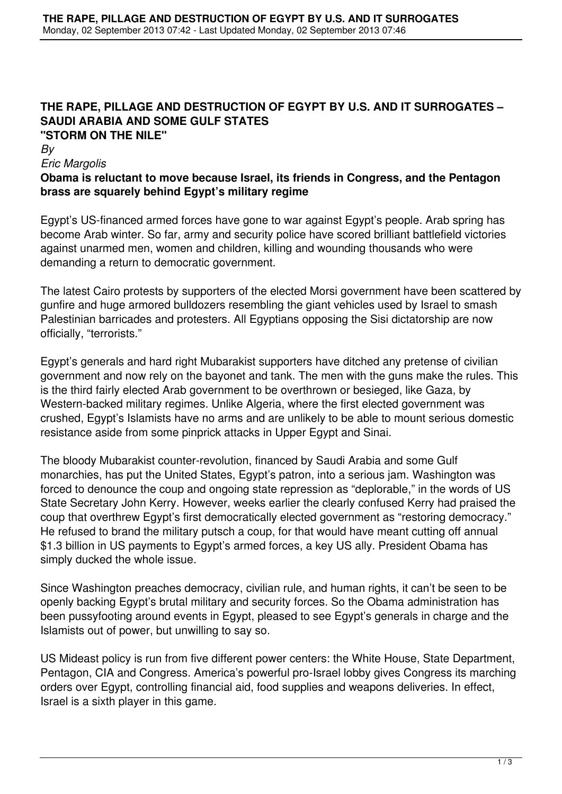### **THE RAPE, PILLAGE AND DESTRUCTION OF EGYPT BY U.S. AND IT SURROGATES – SAUDI ARABIA AND SOME GULF STATES "STORM ON THE NILE"**

*By*

#### *Eric Margolis*

### **Obama is reluctant to move because Israel, its friends in Congress, and the Pentagon brass are squarely behind Egypt's military regime**

Egypt's US-financed armed forces have gone to war against Egypt's people. Arab spring has become Arab winter. So far, army and security police have scored brilliant battlefield victories against unarmed men, women and children, killing and wounding thousands who were demanding a return to democratic government.

The latest Cairo protests by supporters of the elected Morsi government have been scattered by gunfire and huge armored bulldozers resembling the giant vehicles used by Israel to smash Palestinian barricades and protesters. All Egyptians opposing the Sisi dictatorship are now officially, "terrorists."

Egypt's generals and hard right Mubarakist supporters have ditched any pretense of civilian government and now rely on the bayonet and tank. The men with the guns make the rules. This is the third fairly elected Arab government to be overthrown or besieged, like Gaza, by Western-backed military regimes. Unlike Algeria, where the first elected government was crushed, Egypt's Islamists have no arms and are unlikely to be able to mount serious domestic resistance aside from some pinprick attacks in Upper Egypt and Sinai.

The bloody Mubarakist counter-revolution, financed by Saudi Arabia and some Gulf monarchies, has put the United States, Egypt's patron, into a serious jam. Washington was forced to denounce the coup and ongoing state repression as "deplorable," in the words of US State Secretary John Kerry. However, weeks earlier the clearly confused Kerry had praised the coup that overthrew Egypt's first democratically elected government as "restoring democracy." He refused to brand the military putsch a coup, for that would have meant cutting off annual \$1.3 billion in US payments to Egypt's armed forces, a key US ally. President Obama has simply ducked the whole issue.

Since Washington preaches democracy, civilian rule, and human rights, it can't be seen to be openly backing Egypt's brutal military and security forces. So the Obama administration has been pussyfooting around events in Egypt, pleased to see Egypt's generals in charge and the Islamists out of power, but unwilling to say so.

US Mideast policy is run from five different power centers: the White House, State Department, Pentagon, CIA and Congress. America's powerful pro-Israel lobby gives Congress its marching orders over Egypt, controlling financial aid, food supplies and weapons deliveries. In effect, Israel is a sixth player in this game.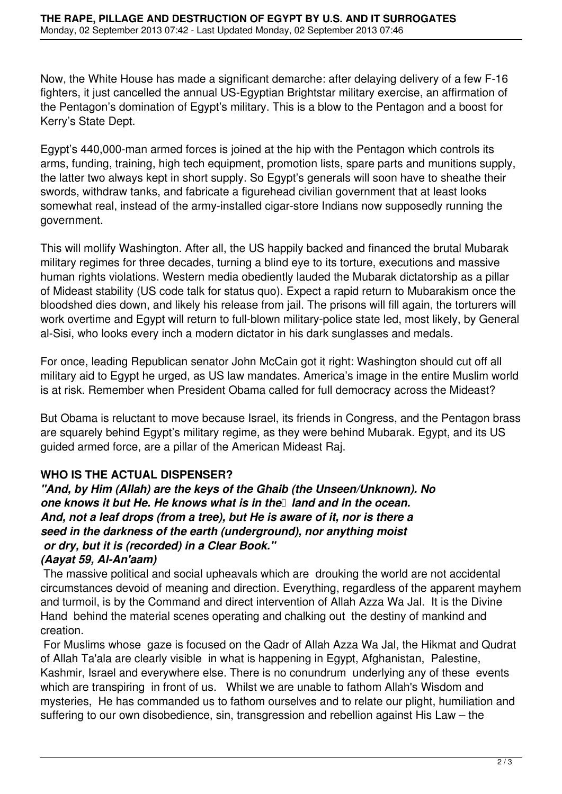Now, the White House has made a significant demarche: after delaying delivery of a few F-16 fighters, it just cancelled the annual US-Egyptian Brightstar military exercise, an affirmation of the Pentagon's domination of Egypt's military. This is a blow to the Pentagon and a boost for Kerry's State Dept.

Egypt's 440,000-man armed forces is joined at the hip with the Pentagon which controls its arms, funding, training, high tech equipment, promotion lists, spare parts and munitions supply, the latter two always kept in short supply. So Egypt's generals will soon have to sheathe their swords, withdraw tanks, and fabricate a figurehead civilian government that at least looks somewhat real, instead of the army-installed cigar-store Indians now supposedly running the government.

This will mollify Washington. After all, the US happily backed and financed the brutal Mubarak military regimes for three decades, turning a blind eye to its torture, executions and massive human rights violations. Western media obediently lauded the Mubarak dictatorship as a pillar of Mideast stability (US code talk for status quo). Expect a rapid return to Mubarakism once the bloodshed dies down, and likely his release from jail. The prisons will fill again, the torturers will work overtime and Egypt will return to full-blown military-police state led, most likely, by General al-Sisi, who looks every inch a modern dictator in his dark sunglasses and medals.

For once, leading Republican senator John McCain got it right: Washington should cut off all military aid to Egypt he urged, as US law mandates. America's image in the entire Muslim world is at risk. Remember when President Obama called for full democracy across the Mideast?

But Obama is reluctant to move because Israel, its friends in Congress, and the Pentagon brass are squarely behind Egypt's military regime, as they were behind Mubarak. Egypt, and its US guided armed force, are a pillar of the American Mideast Raj.

# **WHO IS THE ACTUAL DISPENSER?**

*"And, by Him (Allah) are the keys of the Ghaib (the Unseen/Unknown). No one knows it but He. He knows what is in the land and in the ocean. And, not a leaf drops (from a tree), but He is aware of it, nor is there a seed in the darkness of the earth (underground), nor anything moist or dry, but it is (recorded) in a Clear Book."*

# *(Aayat 59, Al-An'aam)*

 The massive political and social upheavals which are drouking the world are not accidental circumstances devoid of meaning and direction. Everything, regardless of the apparent mayhem and turmoil, is by the Command and direct intervention of Allah Azza Wa Jal. It is the Divine Hand behind the material scenes operating and chalking out the destiny of mankind and creation.

 For Muslims whose gaze is focused on the Qadr of Allah Azza Wa Jal, the Hikmat and Qudrat of Allah Ta'ala are clearly visible in what is happening in Egypt, Afghanistan, Palestine, Kashmir, Israel and everywhere else. There is no conundrum underlying any of these events which are transpiring in front of us. Whilst we are unable to fathom Allah's Wisdom and mysteries, He has commanded us to fathom ourselves and to relate our plight, humiliation and suffering to our own disobedience, sin, transgression and rebellion against His Law – the